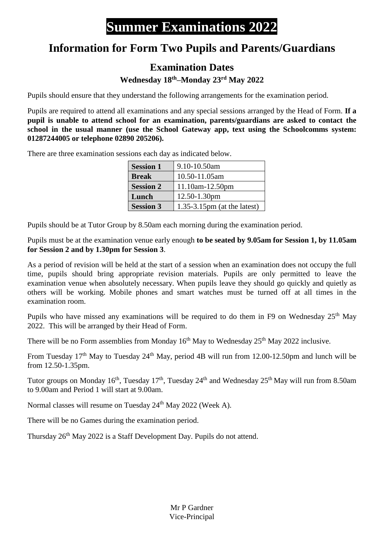## **Summer Examinations 2022**

## **Information for Form Two Pupils and Parents/Guardians**

## **Examination Dates**

**Wednesday 18 th–Monday 23rd May 2022**

Pupils should ensure that they understand the following arrangements for the examination period.

Pupils are required to attend all examinations and any special sessions arranged by the Head of Form. **If a pupil is unable to attend school for an examination, parents/guardians are asked to contact the school in the usual manner (use the School Gateway app, text using the Schoolcomms system: 01287244005 or telephone 02890 205206).**

There are three examination sessions each day as indicated below.

| <b>Session 1</b> | 9.10-10.50am                   |
|------------------|--------------------------------|
| <b>Break</b>     | 10.50-11.05am                  |
| <b>Session 2</b> | $11.10am-12.50pm$              |
| Lunch            | 12.50-1.30pm                   |
| <b>Session 3</b> | $1.35-3.15$ pm (at the latest) |

Pupils should be at Tutor Group by 8.50am each morning during the examination period.

Pupils must be at the examination venue early enough **to be seated by 9.05am for Session 1, by 11.05am for Session 2 and by 1.30pm for Session 3**.

As a period of revision will be held at the start of a session when an examination does not occupy the full time, pupils should bring appropriate revision materials. Pupils are only permitted to leave the examination venue when absolutely necessary. When pupils leave they should go quickly and quietly as others will be working. Mobile phones and smart watches must be turned off at all times in the examination room.

Pupils who have missed any examinations will be required to do them in F9 on Wednesday 25<sup>th</sup> May 2022. This will be arranged by their Head of Form.

There will be no Form assemblies from Monday  $16<sup>th</sup>$  May to Wednesday  $25<sup>th</sup>$  May 2022 inclusive.

From Tuesday  $17<sup>th</sup>$  May to Tuesday  $24<sup>th</sup>$  May, period 4B will run from 12.00-12.50pm and lunch will be from 12.50-1.35pm.

Tutor groups on Monday 16<sup>th</sup>, Tuesday 17<sup>th</sup>, Tuesday 24<sup>th</sup> and Wednesday 25<sup>th</sup> May will run from 8.50am to 9.00am and Period 1 will start at 9.00am.

Normal classes will resume on Tuesday 24<sup>th</sup> May 2022 (Week A).

There will be no Games during the examination period.

Thursday 26<sup>th</sup> May 2022 is a Staff Development Day. Pupils do not attend.

Mr P Gardner Vice-Principal